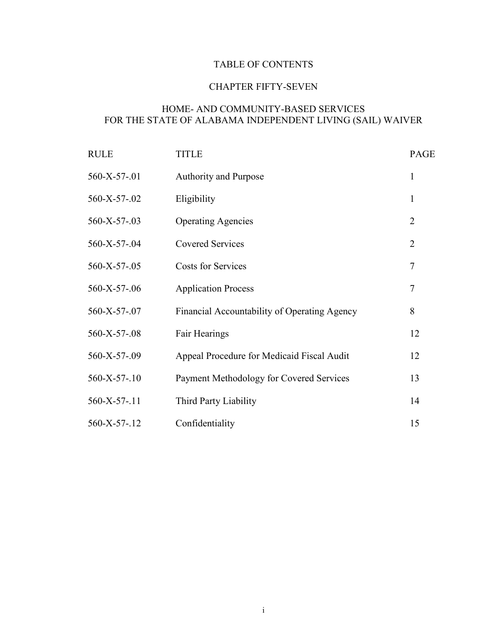# TABLE OF CONTENTS

# CHAPTER FIFTY-SEVEN

# HOME- AND COMMUNITY-BASED SERVICES FOR THE STATE OF ALABAMA INDEPENDENT LIVING (SAIL) WAIVER

| <b>RULE</b>  | <b>TITLE</b>                                 | <b>PAGE</b>    |
|--------------|----------------------------------------------|----------------|
| 560-X-57-.01 | <b>Authority and Purpose</b>                 | $\mathbf{1}$   |
| 560-X-57-.02 | Eligibility                                  | 1              |
| 560-X-57-.03 | <b>Operating Agencies</b>                    | $\overline{2}$ |
| 560-X-57-.04 | <b>Covered Services</b>                      | $\overline{2}$ |
| 560-X-57-.05 | <b>Costs for Services</b>                    | 7              |
| 560-X-57-.06 | <b>Application Process</b>                   | 7              |
| 560-X-57-.07 | Financial Accountability of Operating Agency | 8              |
| 560-X-57-.08 | Fair Hearings                                | 12             |
| 560-X-57-.09 | Appeal Procedure for Medicaid Fiscal Audit   | 12             |
| 560-X-57-.10 | Payment Methodology for Covered Services     | 13             |
| 560-X-57-.11 | Third Party Liability                        | 14             |
| 560-X-57-.12 | Confidentiality                              | 15             |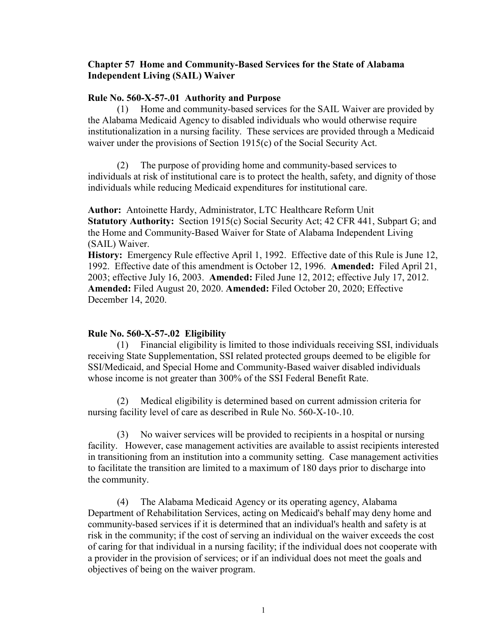## **Chapter 57 Home and Community-Based Services for the State of Alabama Independent Living (SAIL) Waiver**

### **Rule No. 560-X-57-.01 Authority and Purpose**

(1) Home and community-based services for the SAIL Waiver are provided by the Alabama Medicaid Agency to disabled individuals who would otherwise require institutionalization in a nursing facility. These services are provided through a Medicaid waiver under the provisions of Section 1915(c) of the Social Security Act.

(2) The purpose of providing home and community-based services to individuals at risk of institutional care is to protect the health, safety, and dignity of those individuals while reducing Medicaid expenditures for institutional care.

**Author:** Antoinette Hardy, Administrator, LTC Healthcare Reform Unit **Statutory Authority:** Section 1915(c) Social Security Act; 42 CFR 441, Subpart G; and the Home and Community-Based Waiver for State of Alabama Independent Living (SAIL) Waiver.

**History:** Emergency Rule effective April 1, 1992. Effective date of this Rule is June 12, 1992. Effective date of this amendment is October 12, 1996. **Amended:** Filed April 21, 2003; effective July 16, 2003. **Amended:** Filed June 12, 2012; effective July 17, 2012. **Amended:** Filed August 20, 2020. **Amended:** Filed October 20, 2020; Effective December 14, 2020.

### **Rule No. 560-X-57-.02 Eligibility**

(1) Financial eligibility is limited to those individuals receiving SSI, individuals receiving State Supplementation, SSI related protected groups deemed to be eligible for SSI/Medicaid, and Special Home and Community-Based waiver disabled individuals whose income is not greater than 300% of the SSI Federal Benefit Rate.

(2) Medical eligibility is determined based on current admission criteria for nursing facility level of care as described in Rule No. 560-X-10-.10.

(3) No waiver services will be provided to recipients in a hospital or nursing facility. However, case management activities are available to assist recipients interested in transitioning from an institution into a community setting. Case management activities to facilitate the transition are limited to a maximum of 180 days prior to discharge into the community.

(4) The Alabama Medicaid Agency or its operating agency, Alabama Department of Rehabilitation Services, acting on Medicaid's behalf may deny home and community-based services if it is determined that an individual's health and safety is at risk in the community; if the cost of serving an individual on the waiver exceeds the cost of caring for that individual in a nursing facility; if the individual does not cooperate with a provider in the provision of services; or if an individual does not meet the goals and objectives of being on the waiver program.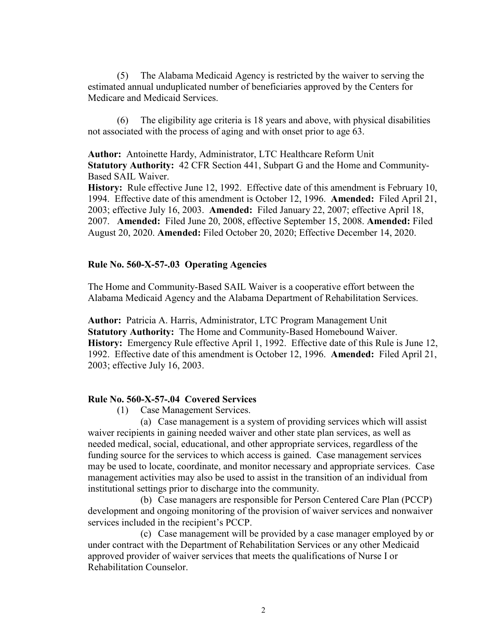(5) The Alabama Medicaid Agency is restricted by the waiver to serving the estimated annual unduplicated number of beneficiaries approved by the Centers for Medicare and Medicaid Services.

(6) The eligibility age criteria is 18 years and above, with physical disabilities not associated with the process of aging and with onset prior to age 63.

**Author:** Antoinette Hardy, Administrator, LTC Healthcare Reform Unit **Statutory Authority:** 42 CFR Section 441, Subpart G and the Home and Community-Based SAIL Waiver.

**History:** Rule effective June 12, 1992. Effective date of this amendment is February 10, 1994. Effective date of this amendment is October 12, 1996. **Amended:** Filed April 21, 2003; effective July 16, 2003. **Amended:** Filed January 22, 2007; effective April 18, 2007. **Amended:** Filed June 20, 2008, effective September 15, 2008. **Amended:** Filed August 20, 2020. **Amended:** Filed October 20, 2020; Effective December 14, 2020.

### **Rule No. 560-X-57-.03 Operating Agencies**

The Home and Community-Based SAIL Waiver is a cooperative effort between the Alabama Medicaid Agency and the Alabama Department of Rehabilitation Services.

**Author:** Patricia A. Harris, Administrator, LTC Program Management Unit **Statutory Authority:** The Home and Community-Based Homebound Waiver. **History:** Emergency Rule effective April 1, 1992. Effective date of this Rule is June 12, 1992. Effective date of this amendment is October 12, 1996. **Amended:** Filed April 21, 2003; effective July 16, 2003.

#### **Rule No. 560-X-57-.04 Covered Services**

(1) Case Management Services.

(a) Case management is a system of providing services which will assist waiver recipients in gaining needed waiver and other state plan services, as well as needed medical, social, educational, and other appropriate services, regardless of the funding source for the services to which access is gained. Case management services may be used to locate, coordinate, and monitor necessary and appropriate services. Case management activities may also be used to assist in the transition of an individual from institutional settings prior to discharge into the community.

(b) Case managers are responsible for Person Centered Care Plan (PCCP) development and ongoing monitoring of the provision of waiver services and nonwaiver services included in the recipient's PCCP.

(c) Case management will be provided by a case manager employed by or under contract with the Department of Rehabilitation Services or any other Medicaid approved provider of waiver services that meets the qualifications of Nurse I or Rehabilitation Counselor.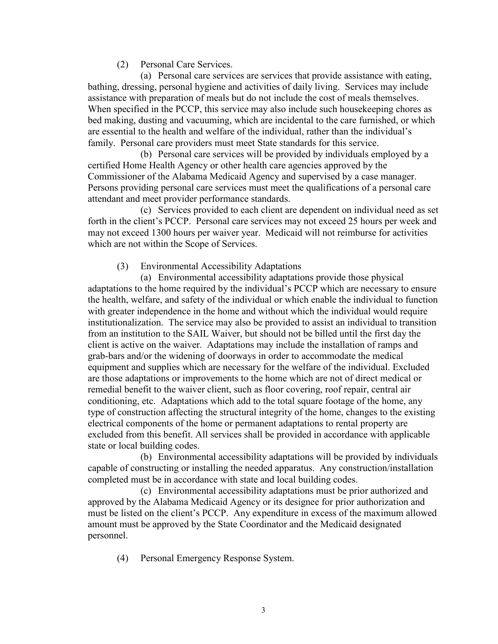(2) Personal Care Services.

(a) Personal care services are services that provide assistance with eating, bathing, dressing, personal hygiene and activities of daily living. Services may include assistance with preparation of meals but do not include the cost of meals themselves. When specified in the PCCP, this service may also include such housekeeping chores as bed making, dusting and vacuuming, which are incidental to the care furnished, or which are essential to the health and welfare of the individual, rather than the individual's family. Personal care providers must meet State standards for this service.

(b) Personal care services will be provided by individuals employed by a certified Home Health Agency or other health care agencies approved by the Commissioner of the Alabama Medicaid Agency and supervised by a case manager. Persons providing personal care services must meet the qualifications of a personal care attendant and meet provider performance standards.

(c) Services provided to each client are dependent on individual need as set forth in the client's PCCP. Personal care services may not exceed 25 hours per week and may not exceed 1300 hours per waiver year. Medicaid will not reimburse for activities which are not within the Scope of Services.

## (3) Environmental Accessibility Adaptations

(a) Environmental accessibility adaptations provide those physical adaptations to the home required by the individual's PCCP which are necessary to ensure the health, welfare, and safety of the individual or which enable the individual to function with greater independence in the home and without which the individual would require institutionalization. The service may also be provided to assist an individual to transition from an institution to the SAIL Waiver, but should not be billed until the first day the client is active on the waiver. Adaptations may include the installation of ramps and grab-bars and/or the widening of doorways in order to accommodate the medical equipment and supplies which are necessary for the welfare of the individual. Excluded are those adaptations or improvements to the home which are not of direct medical or remedial benefit to the waiver client, such as floor covering, roof repair, central air conditioning, etc. Adaptations which add to the total square footage of the home, any type of construction affecting the structural integrity of the home, changes to the existing electrical components of the home or permanent adaptations to rental property are excluded from this benefit. All services shall be provided in accordance with applicable state or local building codes.

(b) Environmental accessibility adaptations will be provided by individuals capable of constructing or installing the needed apparatus. Any construction/installation completed must be in accordance with state and local building codes.

(c) Environmental accessibility adaptations must be prior authorized and approved by the Alabama Medicaid Agency or its designee for prior authorization and must be listed on the client's PCCP. Any expenditure in excess of the maximum allowed amount must be approved by the State Coordinator and the Medicaid designated personnel.

(4) Personal Emergency Response System.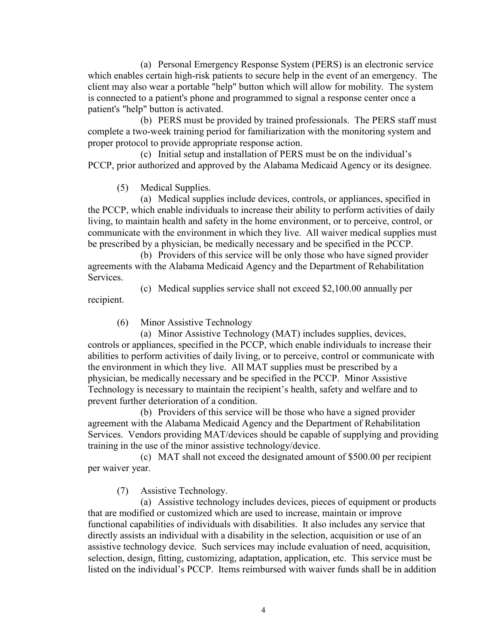(a) Personal Emergency Response System (PERS) is an electronic service which enables certain high-risk patients to secure help in the event of an emergency. The client may also wear a portable "help" button which will allow for mobility. The system is connected to a patient's phone and programmed to signal a response center once a patient's "help" button is activated.

(b) PERS must be provided by trained professionals. The PERS staff must complete a two-week training period for familiarization with the monitoring system and proper protocol to provide appropriate response action.

(c) Initial setup and installation of PERS must be on the individual's PCCP, prior authorized and approved by the Alabama Medicaid Agency or its designee.

(5) Medical Supplies.

(a) Medical supplies include devices, controls, or appliances, specified in the PCCP, which enable individuals to increase their ability to perform activities of daily living, to maintain health and safety in the home environment, or to perceive, control, or communicate with the environment in which they live. All waiver medical supplies must be prescribed by a physician, be medically necessary and be specified in the PCCP.

(b) Providers of this service will be only those who have signed provider agreements with the Alabama Medicaid Agency and the Department of Rehabilitation Services.

(c) Medical supplies service shall not exceed \$2,100.00 annually per

recipient.

(6) Minor Assistive Technology

(a) Minor Assistive Technology (MAT) includes supplies, devices, controls or appliances, specified in the PCCP, which enable individuals to increase their abilities to perform activities of daily living, or to perceive, control or communicate with the environment in which they live. All MAT supplies must be prescribed by a physician, be medically necessary and be specified in the PCCP. Minor Assistive Technology is necessary to maintain the recipient's health, safety and welfare and to prevent further deterioration of a condition.

(b) Providers of this service will be those who have a signed provider agreement with the Alabama Medicaid Agency and the Department of Rehabilitation Services. Vendors providing MAT/devices should be capable of supplying and providing training in the use of the minor assistive technology/device.

(c) MAT shall not exceed the designated amount of \$500.00 per recipient per waiver year.

(7) Assistive Technology.

(a) Assistive technology includes devices, pieces of equipment or products that are modified or customized which are used to increase, maintain or improve functional capabilities of individuals with disabilities. It also includes any service that directly assists an individual with a disability in the selection, acquisition or use of an assistive technology device. Such services may include evaluation of need, acquisition, selection, design, fitting, customizing, adaptation, application, etc. This service must be listed on the individual's PCCP. Items reimbursed with waiver funds shall be in addition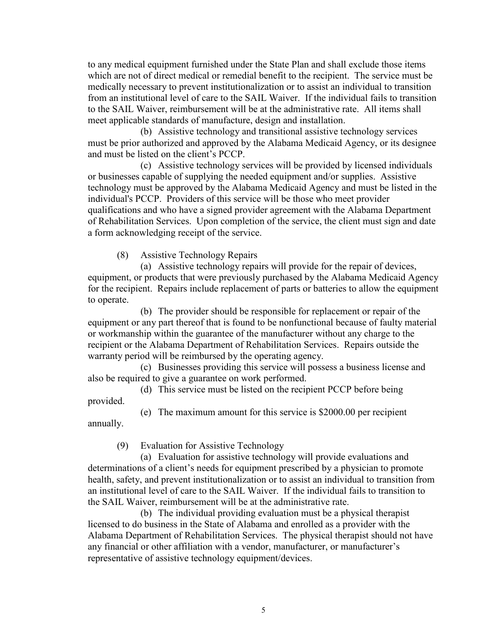to any medical equipment furnished under the State Plan and shall exclude those items which are not of direct medical or remedial benefit to the recipient. The service must be medically necessary to prevent institutionalization or to assist an individual to transition from an institutional level of care to the SAIL Waiver. If the individual fails to transition to the SAIL Waiver, reimbursement will be at the administrative rate. All items shall meet applicable standards of manufacture, design and installation.

(b) Assistive technology and transitional assistive technology services must be prior authorized and approved by the Alabama Medicaid Agency, or its designee and must be listed on the client's PCCP.

(c) Assistive technology services will be provided by licensed individuals or businesses capable of supplying the needed equipment and/or supplies. Assistive technology must be approved by the Alabama Medicaid Agency and must be listed in the individual's PCCP. Providers of this service will be those who meet provider qualifications and who have a signed provider agreement with the Alabama Department of Rehabilitation Services. Upon completion of the service, the client must sign and date a form acknowledging receipt of the service.

(8) Assistive Technology Repairs

(a) Assistive technology repairs will provide for the repair of devices, equipment, or products that were previously purchased by the Alabama Medicaid Agency for the recipient. Repairs include replacement of parts or batteries to allow the equipment to operate.

(b) The provider should be responsible for replacement or repair of the equipment or any part thereof that is found to be nonfunctional because of faulty material or workmanship within the guarantee of the manufacturer without any charge to the recipient or the Alabama Department of Rehabilitation Services. Repairs outside the warranty period will be reimbursed by the operating agency.

(c) Businesses providing this service will possess a business license and also be required to give a guarantee on work performed.

(d) This service must be listed on the recipient PCCP before being provided.

(e) The maximum amount for this service is \$2000.00 per recipient annually.

(9) Evaluation for Assistive Technology

(a) Evaluation for assistive technology will provide evaluations and determinations of a client's needs for equipment prescribed by a physician to promote health, safety, and prevent institutionalization or to assist an individual to transition from an institutional level of care to the SAIL Waiver. If the individual fails to transition to the SAIL Waiver, reimbursement will be at the administrative rate.

(b) The individual providing evaluation must be a physical therapist licensed to do business in the State of Alabama and enrolled as a provider with the Alabama Department of Rehabilitation Services. The physical therapist should not have any financial or other affiliation with a vendor, manufacturer, or manufacturer's representative of assistive technology equipment/devices.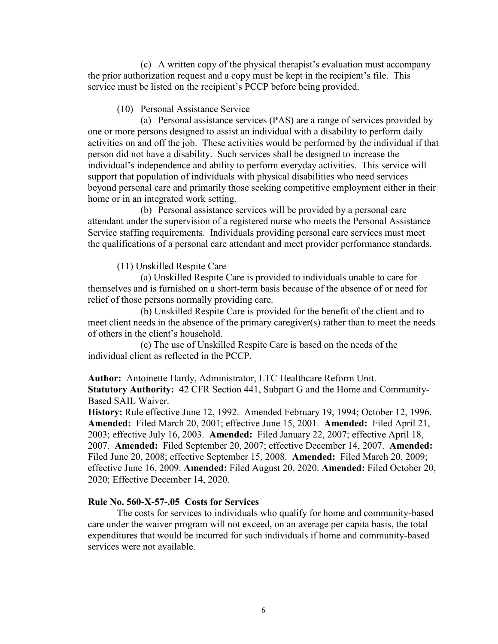(c) A written copy of the physical therapist's evaluation must accompany the prior authorization request and a copy must be kept in the recipient's file. This service must be listed on the recipient's PCCP before being provided.

#### (10) Personal Assistance Service

(a) Personal assistance services (PAS) are a range of services provided by one or more persons designed to assist an individual with a disability to perform daily activities on and off the job. These activities would be performed by the individual if that person did not have a disability. Such services shall be designed to increase the individual's independence and ability to perform everyday activities. This service will support that population of individuals with physical disabilities who need services beyond personal care and primarily those seeking competitive employment either in their home or in an integrated work setting.

(b) Personal assistance services will be provided by a personal care attendant under the supervision of a registered nurse who meets the Personal Assistance Service staffing requirements. Individuals providing personal care services must meet the qualifications of a personal care attendant and meet provider performance standards.

### (11) Unskilled Respite Care

(a) Unskilled Respite Care is provided to individuals unable to care for themselves and is furnished on a short-term basis because of the absence of or need for relief of those persons normally providing care.

(b) Unskilled Respite Care is provided for the benefit of the client and to meet client needs in the absence of the primary caregiver(s) rather than to meet the needs of others in the client's household.

(c) The use of Unskilled Respite Care is based on the needs of the individual client as reflected in the PCCP.

**Author:** Antoinette Hardy, Administrator, LTC Healthcare Reform Unit. **Statutory Authority:** 42 CFR Section 441, Subpart G and the Home and Community-Based SAIL Waiver.

**History:** Rule effective June 12, 1992. Amended February 19, 1994; October 12, 1996. **Amended:** Filed March 20, 2001; effective June 15, 2001. **Amended:** Filed April 21, 2003; effective July 16, 2003. **Amended:** Filed January 22, 2007; effective April 18, 2007. **Amended:** Filed September 20, 2007; effective December 14, 2007. **Amended:** Filed June 20, 2008; effective September 15, 2008. **Amended:** Filed March 20, 2009; effective June 16, 2009. **Amended:** Filed August 20, 2020. **Amended:** Filed October 20, 2020; Effective December 14, 2020.

## **Rule No. 560-X-57-.05 Costs for Services**

The costs for services to individuals who qualify for home and community-based care under the waiver program will not exceed, on an average per capita basis, the total expenditures that would be incurred for such individuals if home and community-based services were not available.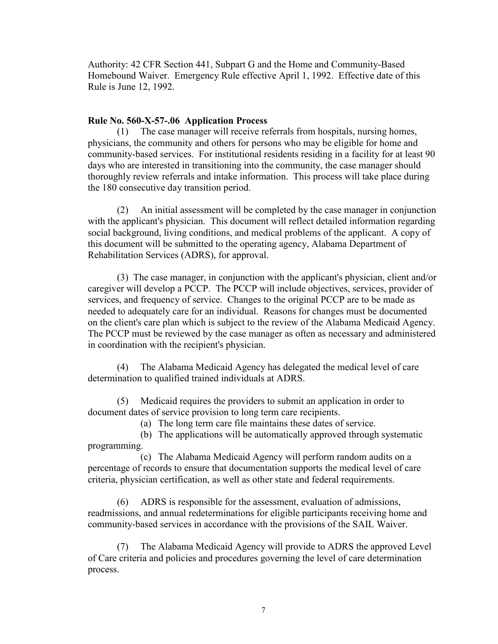Authority: 42 CFR Section 441, Subpart G and the Home and Community-Based Homebound Waiver. Emergency Rule effective April 1, 1992. Effective date of this Rule is June 12, 1992.

### **Rule No. 560-X-57-.06 Application Process**

(1) The case manager will receive referrals from hospitals, nursing homes, physicians, the community and others for persons who may be eligible for home and community-based services. For institutional residents residing in a facility for at least 90 days who are interested in transitioning into the community, the case manager should thoroughly review referrals and intake information. This process will take place during the 180 consecutive day transition period.

(2) An initial assessment will be completed by the case manager in conjunction with the applicant's physician. This document will reflect detailed information regarding social background, living conditions, and medical problems of the applicant. A copy of this document will be submitted to the operating agency, Alabama Department of Rehabilitation Services (ADRS), for approval.

(3) The case manager, in conjunction with the applicant's physician, client and/or caregiver will develop a PCCP. The PCCP will include objectives, services, provider of services, and frequency of service. Changes to the original PCCP are to be made as needed to adequately care for an individual. Reasons for changes must be documented on the client's care plan which is subject to the review of the Alabama Medicaid Agency. The PCCP must be reviewed by the case manager as often as necessary and administered in coordination with the recipient's physician.

(4) The Alabama Medicaid Agency has delegated the medical level of care determination to qualified trained individuals at ADRS.

(5) Medicaid requires the providers to submit an application in order to document dates of service provision to long term care recipients.

(a) The long term care file maintains these dates of service.

(b) The applications will be automatically approved through systematic programming.

(c) The Alabama Medicaid Agency will perform random audits on a percentage of records to ensure that documentation supports the medical level of care criteria, physician certification, as well as other state and federal requirements.

(6) ADRS is responsible for the assessment, evaluation of admissions, readmissions, and annual redeterminations for eligible participants receiving home and community-based services in accordance with the provisions of the SAIL Waiver.

The Alabama Medicaid Agency will provide to ADRS the approved Level of Care criteria and policies and procedures governing the level of care determination process.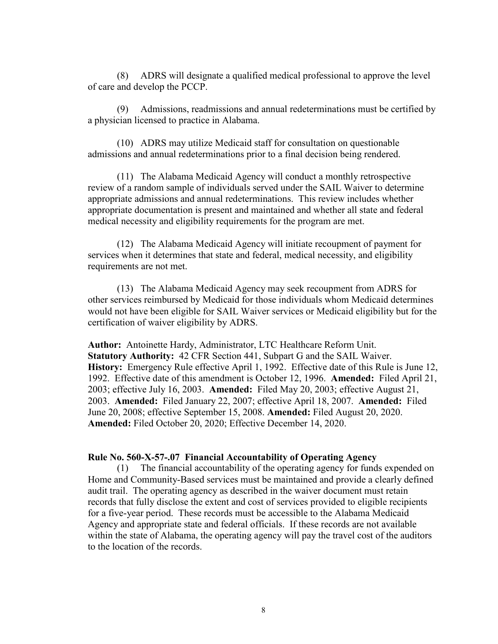(8) ADRS will designate a qualified medical professional to approve the level of care and develop the PCCP.

(9) Admissions, readmissions and annual redeterminations must be certified by a physician licensed to practice in Alabama.

(10) ADRS may utilize Medicaid staff for consultation on questionable admissions and annual redeterminations prior to a final decision being rendered.

(11) The Alabama Medicaid Agency will conduct a monthly retrospective review of a random sample of individuals served under the SAIL Waiver to determine appropriate admissions and annual redeterminations. This review includes whether appropriate documentation is present and maintained and whether all state and federal medical necessity and eligibility requirements for the program are met.

(12) The Alabama Medicaid Agency will initiate recoupment of payment for services when it determines that state and federal, medical necessity, and eligibility requirements are not met.

(13) The Alabama Medicaid Agency may seek recoupment from ADRS for other services reimbursed by Medicaid for those individuals whom Medicaid determines would not have been eligible for SAIL Waiver services or Medicaid eligibility but for the certification of waiver eligibility by ADRS.

**Author:** Antoinette Hardy, Administrator, LTC Healthcare Reform Unit. **Statutory Authority:** 42 CFR Section 441, Subpart G and the SAIL Waiver. **History:** Emergency Rule effective April 1, 1992. Effective date of this Rule is June 12, 1992. Effective date of this amendment is October 12, 1996. **Amended:** Filed April 21, 2003; effective July 16, 2003. **Amended:** Filed May 20, 2003; effective August 21, 2003. **Amended:** Filed January 22, 2007; effective April 18, 2007. **Amended:** Filed June 20, 2008; effective September 15, 2008. **Amended:** Filed August 20, 2020. **Amended:** Filed October 20, 2020; Effective December 14, 2020.

#### **Rule No. 560-X-57-.07 Financial Accountability of Operating Agency**

(1) The financial accountability of the operating agency for funds expended on Home and Community-Based services must be maintained and provide a clearly defined audit trail. The operating agency as described in the waiver document must retain records that fully disclose the extent and cost of services provided to eligible recipients for a five-year period. These records must be accessible to the Alabama Medicaid Agency and appropriate state and federal officials. If these records are not available within the state of Alabama, the operating agency will pay the travel cost of the auditors to the location of the records.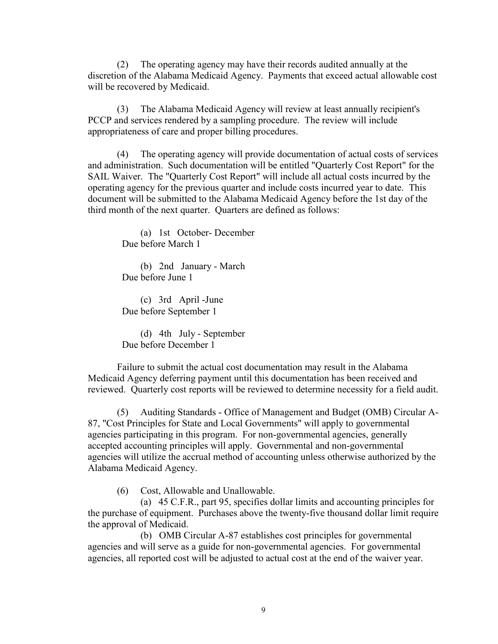(2) The operating agency may have their records audited annually at the discretion of the Alabama Medicaid Agency. Payments that exceed actual allowable cost will be recovered by Medicaid.

(3) The Alabama Medicaid Agency will review at least annually recipient's PCCP and services rendered by a sampling procedure. The review will include appropriateness of care and proper billing procedures.

(4) The operating agency will provide documentation of actual costs of services and administration. Such documentation will be entitled "Quarterly Cost Report" for the SAIL Waiver. The "Quarterly Cost Report" will include all actual costs incurred by the operating agency for the previous quarter and include costs incurred year to date. This document will be submitted to the Alabama Medicaid Agency before the 1st day of the third month of the next quarter. Quarters are defined as follows:

(a) 1st October- December Due before March 1

(b) 2nd January - March Due before June 1

(c) 3rd April -June Due before September 1

(d) 4th July - September Due before December 1

Failure to submit the actual cost documentation may result in the Alabama Medicaid Agency deferring payment until this documentation has been received and reviewed. Quarterly cost reports will be reviewed to determine necessity for a field audit.

(5) Auditing Standards - Office of Management and Budget (OMB) Circular A-87, "Cost Principles for State and Local Governments" will apply to governmental agencies participating in this program. For non-governmental agencies, generally accepted accounting principles will apply. Governmental and non-governmental agencies will utilize the accrual method of accounting unless otherwise authorized by the Alabama Medicaid Agency.

(6) Cost, Allowable and Unallowable.

(a) 45 C.F.R., part 95, specifies dollar limits and accounting principles for the purchase of equipment. Purchases above the twenty-five thousand dollar limit require the approval of Medicaid.

(b) OMB Circular A-87 establishes cost principles for governmental agencies and will serve as a guide for non-governmental agencies. For governmental agencies, all reported cost will be adjusted to actual cost at the end of the waiver year.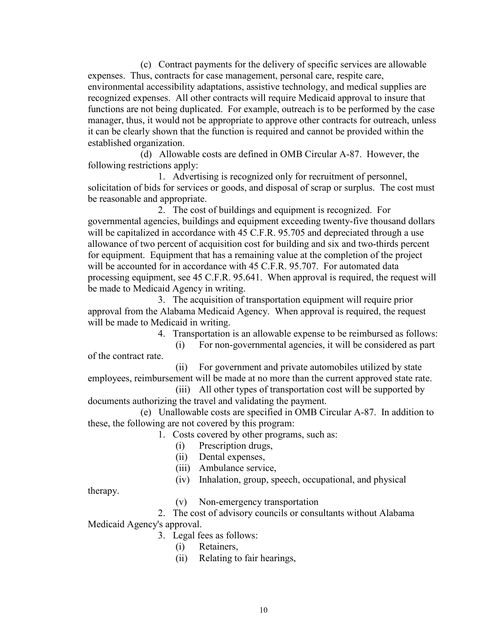(c) Contract payments for the delivery of specific services are allowable expenses. Thus, contracts for case management, personal care, respite care, environmental accessibility adaptations, assistive technology, and medical supplies are recognized expenses. All other contracts will require Medicaid approval to insure that functions are not being duplicated. For example, outreach is to be performed by the case manager, thus, it would not be appropriate to approve other contracts for outreach, unless it can be clearly shown that the function is required and cannot be provided within the established organization.

(d) Allowable costs are defined in OMB Circular A-87. However, the following restrictions apply:

1. Advertising is recognized only for recruitment of personnel, solicitation of bids for services or goods, and disposal of scrap or surplus. The cost must be reasonable and appropriate.

2. The cost of buildings and equipment is recognized. For governmental agencies, buildings and equipment exceeding twenty-five thousand dollars will be capitalized in accordance with 45 C.F.R. 95.705 and depreciated through a use allowance of two percent of acquisition cost for building and six and two-thirds percent for equipment. Equipment that has a remaining value at the completion of the project will be accounted for in accordance with 45 C.F.R. 95.707. For automated data processing equipment, see 45 C.F.R. 95.641. When approval is required, the request will be made to Medicaid Agency in writing.

3. The acquisition of transportation equipment will require prior approval from the Alabama Medicaid Agency. When approval is required, the request will be made to Medicaid in writing.

4. Transportation is an allowable expense to be reimbursed as follows:

(i) For non-governmental agencies, it will be considered as part of the contract rate.

(ii) For government and private automobiles utilized by state employees, reimbursement will be made at no more than the current approved state rate.

(iii) All other types of transportation cost will be supported by documents authorizing the travel and validating the payment.

(e) Unallowable costs are specified in OMB Circular A-87. In addition to these, the following are not covered by this program:

1. Costs covered by other programs, such as:

- (i) Prescription drugs,
- (ii) Dental expenses,
- (iii) Ambulance service,
- (iv) Inhalation, group, speech, occupational, and physical

therapy.

(v) Non-emergency transportation

2. The cost of advisory councils or consultants without Alabama Medicaid Agency's approval.

- 3. Legal fees as follows:
	- (i) Retainers,
	- (ii) Relating to fair hearings,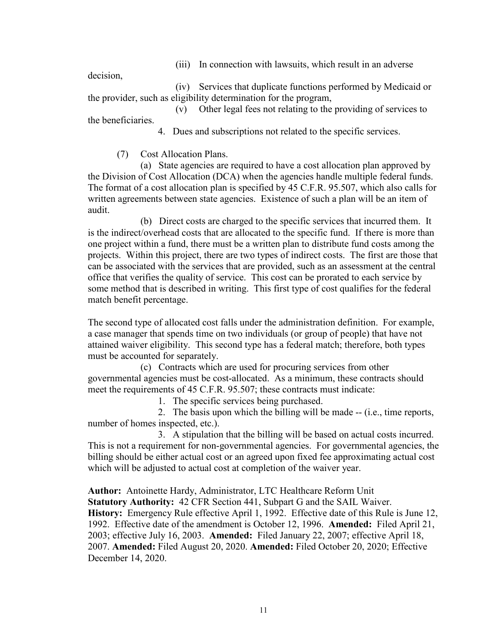(iii) In connection with lawsuits, which result in an adverse

decision,

(iv) Services that duplicate functions performed by Medicaid or the provider, such as eligibility determination for the program,

(v) Other legal fees not relating to the providing of services to the beneficiaries.

4. Dues and subscriptions not related to the specific services.

(7) Cost Allocation Plans.

(a) State agencies are required to have a cost allocation plan approved by the Division of Cost Allocation (DCA) when the agencies handle multiple federal funds. The format of a cost allocation plan is specified by 45 C.F.R. 95.507, which also calls for written agreements between state agencies. Existence of such a plan will be an item of audit.

(b) Direct costs are charged to the specific services that incurred them. It is the indirect/overhead costs that are allocated to the specific fund. If there is more than one project within a fund, there must be a written plan to distribute fund costs among the projects. Within this project, there are two types of indirect costs. The first are those that can be associated with the services that are provided, such as an assessment at the central office that verifies the quality of service. This cost can be prorated to each service by some method that is described in writing. This first type of cost qualifies for the federal match benefit percentage.

The second type of allocated cost falls under the administration definition. For example, a case manager that spends time on two individuals (or group of people) that have not attained waiver eligibility. This second type has a federal match; therefore, both types must be accounted for separately.

(c) Contracts which are used for procuring services from other governmental agencies must be cost-allocated. As a minimum, these contracts should meet the requirements of 45 C.F.R. 95.507; these contracts must indicate:

1. The specific services being purchased.

2. The basis upon which the billing will be made -- (i.e., time reports, number of homes inspected, etc.).

3. A stipulation that the billing will be based on actual costs incurred. This is not a requirement for non-governmental agencies. For governmental agencies, the billing should be either actual cost or an agreed upon fixed fee approximating actual cost which will be adjusted to actual cost at completion of the waiver year.

**Author:** Antoinette Hardy, Administrator, LTC Healthcare Reform Unit **Statutory Authority:** 42 CFR Section 441, Subpart G and the SAIL Waiver. **History:** Emergency Rule effective April 1, 1992. Effective date of this Rule is June 12, 1992. Effective date of the amendment is October 12, 1996. **Amended:** Filed April 21, 2003; effective July 16, 2003. **Amended:** Filed January 22, 2007; effective April 18, 2007. **Amended:** Filed August 20, 2020. **Amended:** Filed October 20, 2020; Effective December 14, 2020.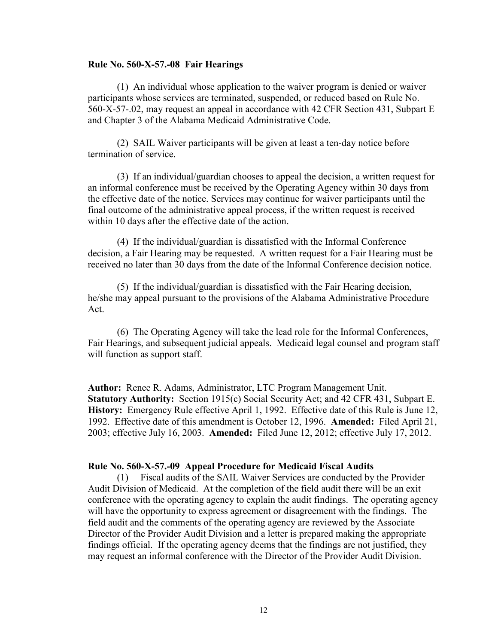#### **Rule No. 560-X-57.-08 Fair Hearings**

(1) An individual whose application to the waiver program is denied or waiver participants whose services are terminated, suspended, or reduced based on Rule No. 560-X-57-.02, may request an appeal in accordance with 42 CFR Section 431, Subpart E and Chapter 3 of the Alabama Medicaid Administrative Code.

(2) SAIL Waiver participants will be given at least a ten-day notice before termination of service.

(3) If an individual/guardian chooses to appeal the decision, a written request for an informal conference must be received by the Operating Agency within 30 days from the effective date of the notice. Services may continue for waiver participants until the final outcome of the administrative appeal process, if the written request is received within 10 days after the effective date of the action.

(4) If the individual/guardian is dissatisfied with the Informal Conference decision, a Fair Hearing may be requested. A written request for a Fair Hearing must be received no later than 30 days from the date of the Informal Conference decision notice.

(5) If the individual/guardian is dissatisfied with the Fair Hearing decision, he/she may appeal pursuant to the provisions of the Alabama Administrative Procedure Act.

(6) The Operating Agency will take the lead role for the Informal Conferences, Fair Hearings, and subsequent judicial appeals. Medicaid legal counsel and program staff will function as support staff.

**Author:** Renee R. Adams, Administrator, LTC Program Management Unit. **Statutory Authority:** Section 1915(c) Social Security Act; and 42 CFR 431, Subpart E. **History:** Emergency Rule effective April 1, 1992. Effective date of this Rule is June 12, 1992. Effective date of this amendment is October 12, 1996. **Amended:** Filed April 21, 2003; effective July 16, 2003. **Amended:** Filed June 12, 2012; effective July 17, 2012.

#### **Rule No. 560-X-57.-09 Appeal Procedure for Medicaid Fiscal Audits**

(1) Fiscal audits of the SAIL Waiver Services are conducted by the Provider Audit Division of Medicaid. At the completion of the field audit there will be an exit conference with the operating agency to explain the audit findings. The operating agency will have the opportunity to express agreement or disagreement with the findings. The field audit and the comments of the operating agency are reviewed by the Associate Director of the Provider Audit Division and a letter is prepared making the appropriate findings official. If the operating agency deems that the findings are not justified, they may request an informal conference with the Director of the Provider Audit Division.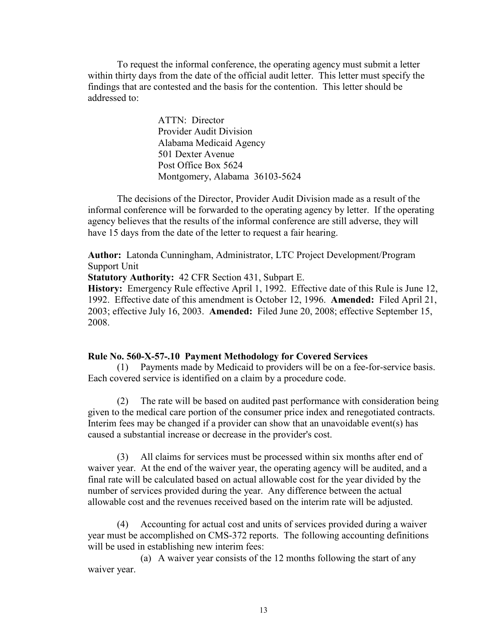To request the informal conference, the operating agency must submit a letter within thirty days from the date of the official audit letter. This letter must specify the findings that are contested and the basis for the contention. This letter should be addressed to:

> ATTN: Director Provider Audit Division Alabama Medicaid Agency 501 Dexter Avenue Post Office Box 5624 Montgomery, Alabama 36103-5624

The decisions of the Director, Provider Audit Division made as a result of the informal conference will be forwarded to the operating agency by letter. If the operating agency believes that the results of the informal conference are still adverse, they will have 15 days from the date of the letter to request a fair hearing.

**Author:** Latonda Cunningham, Administrator, LTC Project Development/Program Support Unit

**Statutory Authority:** 42 CFR Section 431, Subpart E.

**History:** Emergency Rule effective April 1, 1992. Effective date of this Rule is June 12, 1992. Effective date of this amendment is October 12, 1996. **Amended:** Filed April 21, 2003; effective July 16, 2003. **Amended:** Filed June 20, 2008; effective September 15, 2008.

#### **Rule No. 560-X-57-.10 Payment Methodology for Covered Services**

(1) Payments made by Medicaid to providers will be on a fee-for-service basis. Each covered service is identified on a claim by a procedure code.

(2) The rate will be based on audited past performance with consideration being given to the medical care portion of the consumer price index and renegotiated contracts. Interim fees may be changed if a provider can show that an unavoidable event(s) has caused a substantial increase or decrease in the provider's cost.

(3) All claims for services must be processed within six months after end of waiver year. At the end of the waiver year, the operating agency will be audited, and a final rate will be calculated based on actual allowable cost for the year divided by the number of services provided during the year. Any difference between the actual allowable cost and the revenues received based on the interim rate will be adjusted.

(4) Accounting for actual cost and units of services provided during a waiver year must be accomplished on CMS-372 reports. The following accounting definitions will be used in establishing new interim fees:

(a) A waiver year consists of the 12 months following the start of any waiver year.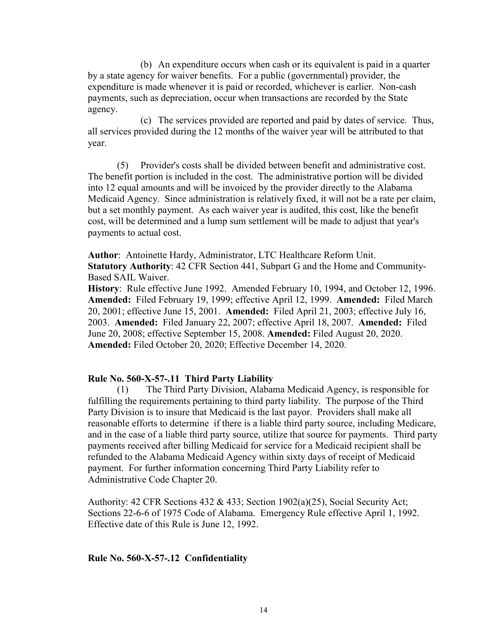(b) An expenditure occurs when cash or its equivalent is paid in a quarter by a state agency for waiver benefits. For a public (governmental) provider, the expenditure is made whenever it is paid or recorded, whichever is earlier. Non-cash payments, such as depreciation, occur when transactions are recorded by the State agency.

(c) The services provided are reported and paid by dates of service. Thus, all services provided during the 12 months of the waiver year will be attributed to that year.

(5) Provider's costs shall be divided between benefit and administrative cost. The benefit portion is included in the cost. The administrative portion will be divided into 12 equal amounts and will be invoiced by the provider directly to the Alabama Medicaid Agency. Since administration is relatively fixed, it will not be a rate per claim, but a set monthly payment. As each waiver year is audited, this cost, like the benefit cost, will be determined and a lump sum settlement will be made to adjust that year's payments to actual cost.

**Author**: Antoinette Hardy, Administrator, LTC Healthcare Reform Unit. **Statutory Authority**: 42 CFR Section 441, Subpart G and the Home and Community-Based SAIL Waiver.

**History**: Rule effective June 1992. Amended February 10, 1994, and October 12, 1996. **Amended:** Filed February 19, 1999; effective April 12, 1999. **Amended:** Filed March 20, 2001; effective June 15, 2001. **Amended:** Filed April 21, 2003; effective July 16, 2003. **Amended:** Filed January 22, 2007; effective April 18, 2007. **Amended:** Filed June 20, 2008; effective September 15, 2008. **Amended:** Filed August 20, 2020. **Amended:** Filed October 20, 2020; Effective December 14, 2020.

### **Rule No. 560-X-57-.11 Third Party Liability**

(1) The Third Party Division, Alabama Medicaid Agency, is responsible for fulfilling the requirements pertaining to third party liability. The purpose of the Third Party Division is to insure that Medicaid is the last payor. Providers shall make all reasonable efforts to determine if there is a liable third party source, including Medicare, and in the case of a liable third party source, utilize that source for payments. Third party payments received after billing Medicaid for service for a Medicaid recipient shall be refunded to the Alabama Medicaid Agency within sixty days of receipt of Medicaid payment. For further information concerning Third Party Liability refer to Administrative Code Chapter 20.

Authority: 42 CFR Sections 432 & 433; Section 1902(a)(25), Social Security Act; Sections 22-6-6 of 1975 Code of Alabama. Emergency Rule effective April 1, 1992. Effective date of this Rule is June 12, 1992.

### **Rule No. 560-X-57-.12 Confidentiality**